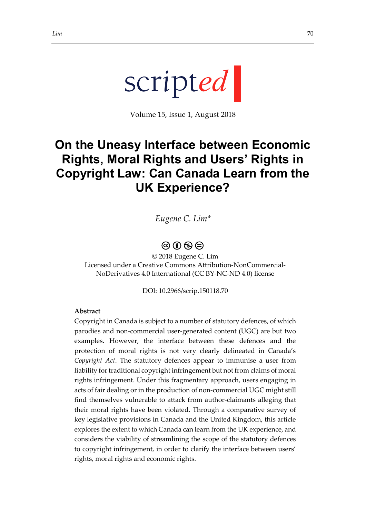Volume 15, Issue 1, August 2018

# **On the Uneasy Interface between Economic Rights, Moral Rights and Users' Rights in Copyright Law: Can Canada Learn from the UK Experience?**

*Eugene C. Lim\**

### $\circledcirc$   $\circledcirc$   $\circledcirc$

© 2018 Eugene C. Lim Licensed under a Creative Commons Attribution-NonCommercial-NoDerivatives 4.0 International (CC BY-NC-ND 4.0) license

DOI: 10.2966/scrip.150118.70

#### **Abstract**

Copyright in Canada is subject to a number of statutory defences, of which parodies and non-commercial user-generated content (UGC) are but two examples. However, the interface between these defences and the protection of moral rights is not very clearly delineated in Canada's *Copyright Act*. The statutory defences appear to immunise a user from liability for traditional copyright infringement but not from claims of moral rights infringement. Under this fragmentary approach, users engaging in acts of fair dealing or in the production of non-commercial UGC might still find themselves vulnerable to attack from author-claimants alleging that their moral rights have been violated. Through a comparative survey of key legislative provisions in Canada and the United Kingdom, this article explores the extent to which Canada can learn from the UK experience, and considers the viability of streamlining the scope of the statutory defences to copyright infringement, in order to clarify the interface between users' rights, moral rights and economic rights.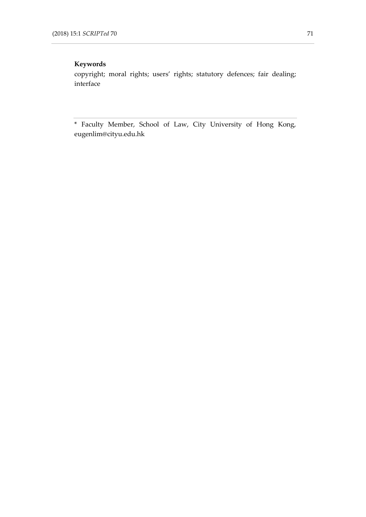#### **Keywords**

copyright; moral rights; users' rights; statutory defences; fair dealing; interface

\* Faculty Member, School of Law, City University of Hong Kong, eugenlim@cityu.edu.hk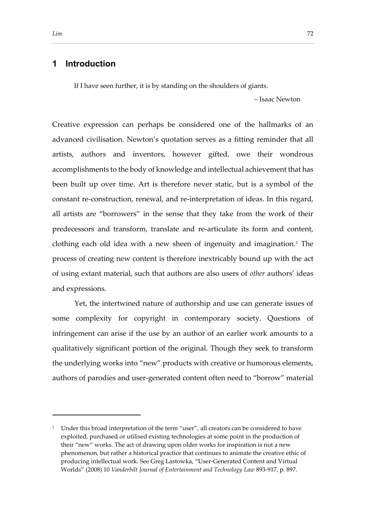#### **1 Introduction**

If I have seen further, it is by standing on the shoulders of giants.

– Isaac Newton

Creative expression can perhaps be considered one of the hallmarks of an advanced civilisation. Newton's quotation serves as a fitting reminder that all artists, authors and inventors, however gifted, owe their wondrous accomplishments to the body of knowledge and intellectual achievement that has been built up over time. Art is therefore never static, but is a symbol of the constant re-construction, renewal, and re-interpretation of ideas. In this regard, all artists are "borrowers" in the sense that they take from the work of their predecessors and transform, translate and re-articulate its form and content, clothing each old idea with a new sheen of ingenuity and imagination.<sup>1</sup> The process of creating new content is therefore inextricably bound up with the act of using extant material, such that authors are also users of *other* authors' ideas and expressions.

Yet, the intertwined nature of authorship and use can generate issues of some complexity for copyright in contemporary society. Questions of infringement can arise if the use by an author of an earlier work amounts to a qualitatively significant portion of the original. Though they seek to transform the underlying works into "new" products with creative or humorous elements, authors of parodies and user-generated content often need to "borrow" material

<sup>&</sup>lt;sup>1</sup> Under this broad interpretation of the term "user", all creators can be considered to have exploited, purchased or utilised existing technologies at some point in the production of their "new" works. The act of drawing upon older works for inspiration is not a new phenomenon, but rather a historical practice that continues to animate the creative ethic of producing intellectual work. See Greg Lastowka, "User-Generated Content and Virtual Worlds" (2008) 10 *Vanderbilt Journal of Entertainment and Technology Law* 893-917, p. 897.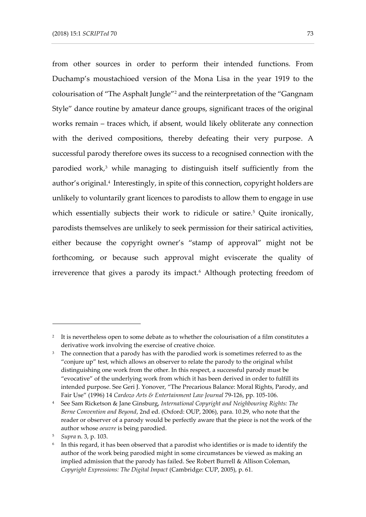from other sources in order to perform their intended functions. From Duchamp's moustachioed version of the Mona Lisa in the year 1919 to the colourisation of "The Asphalt Jungle"<sup>2</sup> and the reinterpretation of the "Gangnam Style" dance routine by amateur dance groups, significant traces of the original works remain – traces which, if absent, would likely obliterate any connection with the derived compositions, thereby defeating their very purpose. A successful parody therefore owes its success to a recognised connection with the parodied work,<sup>3</sup> while managing to distinguish itself sufficiently from the author's original.<sup>4</sup> Interestingly, in spite of this connection, copyright holders are unlikely to voluntarily grant licences to parodists to allow them to engage in use which essentially subjects their work to ridicule or satire.<sup>5</sup> Quite ironically, parodists themselves are unlikely to seek permission for their satirical activities, either because the copyright owner's "stamp of approval" might not be forthcoming, or because such approval might eviscerate the quality of irreverence that gives a parody its impact.<sup>6</sup> Although protecting freedom of

<sup>2</sup> It is nevertheless open to some debate as to whether the colourisation of a film constitutes a derivative work involving the exercise of creative choice.

<sup>&</sup>lt;sup>3</sup> The connection that a parody has with the parodied work is sometimes referred to as the "conjure up" test, which allows an observer to relate the parody to the original whilst distinguishing one work from the other. In this respect, a successful parody must be "evocative" of the underlying work from which it has been derived in order to fulfill its intended purpose. See Geri J. Yonover, "The Precarious Balance: Moral Rights, Parody, and Fair Use" (1996) 14 *Cardozo Arts & Entertainment Law Journal* 79-126, pp. 105-106.

<sup>4</sup> See Sam Ricketson & Jane Ginsburg, *International Copyright and Neighbouring Rights: The Berne Convention and Beyond*, 2nd ed. (Oxford: OUP, 2006), para. 10.29, who note that the reader or observer of a parody would be perfectly aware that the piece is not the work of the author whose *oeuvre* is being parodied.

<sup>5</sup> *Supra* n. 3, p. 103.

<sup>6</sup> In this regard, it has been observed that a parodist who identifies or is made to identify the author of the work being parodied might in some circumstances be viewed as making an implied admission that the parody has failed. See Robert Burrell & Allison Coleman, *Copyright Expressions: The Digital Impact* (Cambridge: CUP, 2005), p. 61.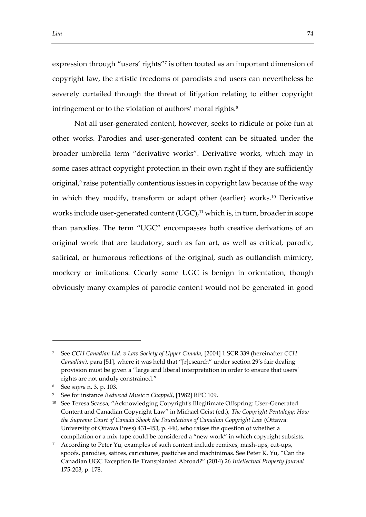expression through "users' rights"<sup>7</sup> is often touted as an important dimension of

copyright law, the artistic freedoms of parodists and users can nevertheless be severely curtailed through the threat of litigation relating to either copyright infringement or to the violation of authors' moral rights.<sup>8</sup>

Not all user-generated content, however, seeks to ridicule or poke fun at other works. Parodies and user-generated content can be situated under the broader umbrella term "derivative works". Derivative works, which may in some cases attract copyright protection in their own right if they are sufficiently original,<sup>9</sup> raise potentially contentious issues in copyright law because of the way in which they modify, transform or adapt other (earlier) works.<sup>10</sup> Derivative works include user-generated content (UGC),<sup>11</sup> which is, in turn, broader in scope than parodies. The term "UGC" encompasses both creative derivations of an original work that are laudatory, such as fan art, as well as critical, parodic, satirical, or humorous reflections of the original, such as outlandish mimicry, mockery or imitations. Clearly some UGC is benign in orientation, though obviously many examples of parodic content would not be generated in good

<sup>7</sup> See *CCH Canadian Ltd. v Law Society of Upper Canada*, [2004] 1 SCR 339 (hereinafter *CCH Canadian)*, para [51], where it was held that "[r]esearch" under section 29's fair dealing provision must be given a "large and liberal interpretation in order to ensure that users' rights are not unduly constrained."

<sup>8</sup> See *supra* n. 3, p. 103.

<sup>9</sup> See for instance *Redwood Music v Chappell*, [1982] RPC 109.

<sup>&</sup>lt;sup>10</sup> See Teresa Scassa, "Acknowledging Copyright's Illegitimate Offspring: User-Generated Content and Canadian Copyright Law" in Michael Geist (ed.), *The Copyright Pentalogy: How the Supreme Court of Canada Shook the Foundations of Canadian Copyright Law* (Ottawa: University of Ottawa Press) 431-453, p. 440, who raises the question of whether a compilation or a mix-tape could be considered a "new work" in which copyright subsists.

<sup>&</sup>lt;sup>11</sup> According to Peter Yu, examples of such content include remixes, mash-ups, cut-ups, spoofs, parodies, satires, caricatures, pastiches and machinimas. See Peter K. Yu, "Can the Canadian UGC Exception Be Transplanted Abroad?" (2014) 26 *Intellectual Property Journal* 175-203, p. 178.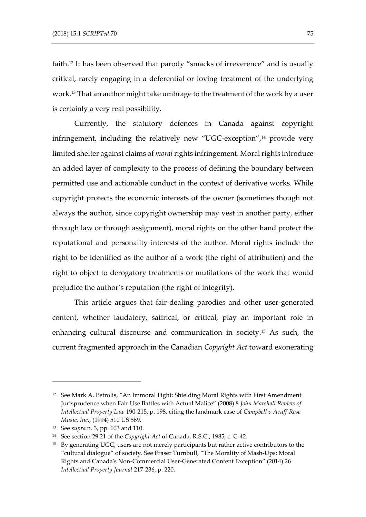faith.<sup>12</sup> It has been observed that parody "smacks of irreverence" and is usually critical, rarely engaging in a deferential or loving treatment of the underlying work.<sup>13</sup> That an author might take umbrage to the treatment of the work by a user is certainly a very real possibility.

Currently, the statutory defences in Canada against copyright infringement, including the relatively new "UGC-exception",<sup>14</sup> provide very limited shelter against claims of *moral*rights infringement. Moral rights introduce an added layer of complexity to the process of defining the boundary between permitted use and actionable conduct in the context of derivative works. While copyright protects the economic interests of the owner (sometimes though not always the author, since copyright ownership may vest in another party, either through law or through assignment), moral rights on the other hand protect the reputational and personality interests of the author. Moral rights include the right to be identified as the author of a work (the right of attribution) and the right to object to derogatory treatments or mutilations of the work that would prejudice the author's reputation (the right of integrity).

This article argues that fair-dealing parodies and other user-generated content, whether laudatory, satirical, or critical, play an important role in enhancing cultural discourse and communication in society.<sup>15</sup> As such, the current fragmented approach in the Canadian *Copyright Act* toward exonerating

<sup>&</sup>lt;sup>12</sup> See Mark A. Petrolis, "An Immoral Fight: Shielding Moral Rights with First Amendment Jurisprudence when Fair Use Battles with Actual Malice" (2008) 8 *John Marshall Review of Intellectual Property Law* 190-215, p. 198, citing the landmark case of *Campbell v Acuff-Rose Music, Inc.*, (1994) 510 US 569.

<sup>13</sup> See *supra* n. 3, pp. 103 and 110.

<sup>14</sup> See section 29.21 of the *Copyright Act* of Canada, R.S.C., 1985, c. C-42.

<sup>&</sup>lt;sup>15</sup> By generating UGC, users are not merely participants but rather active contributors to the "cultural dialogue" of society. See Fraser Turnbull, "The Morality of Mash-Ups: Moral Rights and Canada's Non-Commercial User-Generated Content Exception" (2014) 26 *Intellectual Property Journal* 217-236, p. 220.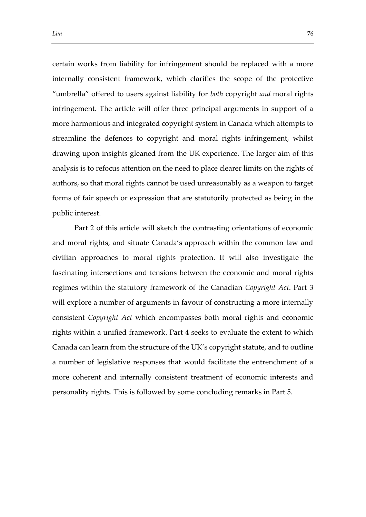certain works from liability for infringement should be replaced with a more internally consistent framework, which clarifies the scope of the protective "umbrella" offered to users against liability for *both* copyright *and* moral rights infringement. The article will offer three principal arguments in support of a more harmonious and integrated copyright system in Canada which attempts to streamline the defences to copyright and moral rights infringement, whilst drawing upon insights gleaned from the UK experience. The larger aim of this analysis is to refocus attention on the need to place clearer limits on the rights of authors, so that moral rights cannot be used unreasonably as a weapon to target forms of fair speech or expression that are statutorily protected as being in the public interest.

Part 2 of this article will sketch the contrasting orientations of economic and moral rights, and situate Canada's approach within the common law and civilian approaches to moral rights protection. It will also investigate the fascinating intersections and tensions between the economic and moral rights regimes within the statutory framework of the Canadian *Copyright Act*. Part 3 will explore a number of arguments in favour of constructing a more internally consistent *Copyright Act* which encompasses both moral rights and economic rights within a unified framework. Part 4 seeks to evaluate the extent to which Canada can learn from the structure of the UK's copyright statute, and to outline a number of legislative responses that would facilitate the entrenchment of a more coherent and internally consistent treatment of economic interests and personality rights. This is followed by some concluding remarks in Part 5.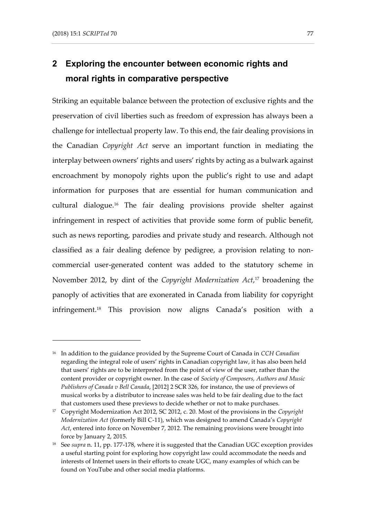Striking an equitable balance between the protection of exclusive rights and the preservation of civil liberties such as freedom of expression has always been a challenge for intellectual property law. To this end, the fair dealing provisions in the Canadian *Copyright Act* serve an important function in mediating the interplay between owners' rights and users' rights by acting as a bulwark against encroachment by monopoly rights upon the public's right to use and adapt information for purposes that are essential for human communication and cultural dialogue.<sup>16</sup> The fair dealing provisions provide shelter against infringement in respect of activities that provide some form of public benefit, such as news reporting, parodies and private study and research. Although not classified as a fair dealing defence by pedigree, a provision relating to noncommercial user-generated content was added to the statutory scheme in November 2012, by dint of the *Copyright Modernization Act*, <sup>17</sup> broadening the panoply of activities that are exonerated in Canada from liability for copyright infringement.<sup>18</sup> This provision now aligns Canada's position with a

<sup>16</sup> In addition to the guidance provided by the Supreme Court of Canada in *CCH Canadian* regarding the integral role of users' rights in Canadian copyright law, it has also been held that users' rights are to be interpreted from the point of view of the user, rather than the content provider or copyright owner. In the case of *Society of Composers, Authors and Music Publishers of Canada v Bell Canada*, [2012] 2 SCR 326, for instance, the use of previews of musical works by a distributor to increase sales was held to be fair dealing due to the fact that customers used these previews to decide whether or not to make purchases.

<sup>17</sup> Copyright Modernization Act 2012, SC 2012, c. 20. Most of the provisions in the *Copyright Modernization Act* (formerly Bill C-11), which was designed to amend Canada's *Copyright Act*, entered into force on November 7, 2012. The remaining provisions were brought into force by January 2, 2015.

<sup>18</sup> See *supra* n. 11, pp. 177-178, where it is suggested that the Canadian UGC exception provides a useful starting point for exploring how copyright law could accommodate the needs and interests of Internet users in their efforts to create UGC, many examples of which can be found on YouTube and other social media platforms.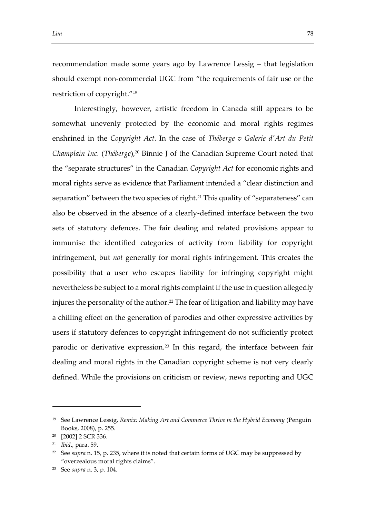recommendation made some years ago by Lawrence Lessig – that legislation should exempt non-commercial UGC from "the requirements of fair use or the restriction of copyright."<sup>19</sup>

Interestingly, however, artistic freedom in Canada still appears to be somewhat unevenly protected by the economic and moral rights regimes enshrined in the *Copyright Act*. In the case of *Théberge v Galerie d'Art du Petit Champlain Inc.* (*Théberge*), <sup>20</sup> Binnie J of the Canadian Supreme Court noted that the "separate structures" in the Canadian *Copyright Act* for economic rights and moral rights serve as evidence that Parliament intended a "clear distinction and separation" between the two species of right.<sup>21</sup> This quality of "separateness" can also be observed in the absence of a clearly-defined interface between the two sets of statutory defences. The fair dealing and related provisions appear to immunise the identified categories of activity from liability for copyright infringement, but *not* generally for moral rights infringement. This creates the possibility that a user who escapes liability for infringing copyright might nevertheless be subject to a moral rights complaint if the use in question allegedly injures the personality of the author.<sup>22</sup> The fear of litigation and liability may have a chilling effect on the generation of parodies and other expressive activities by users if statutory defences to copyright infringement do not sufficiently protect parodic or derivative expression.<sup>23</sup> In this regard, the interface between fair dealing and moral rights in the Canadian copyright scheme is not very clearly defined. While the provisions on criticism or review, news reporting and UGC

<sup>19</sup> See Lawrence Lessig, *Remix: Making Art and Commerce Thrive in the Hybrid Economy* (Penguin Books, 2008), p. 255.

<sup>20</sup> [2002] 2 SCR 336.

<sup>21</sup> *Ibid*., para. 59.

<sup>22</sup> See *supra* n. 15, p. 235, where it is noted that certain forms of UGC may be suppressed by "overzealous moral rights claims".

<sup>23</sup> See *supra* n. 3, p. 104.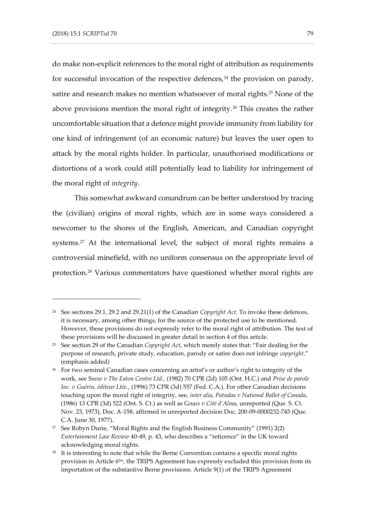do make non-explicit references to the moral right of attribution as requirements for successful invocation of the respective defences, $24$  the provision on parody, satire and research makes no mention whatsoever of moral rights.<sup>25</sup> None of the above provisions mention the moral right of integrity.<sup>26</sup> This creates the rather uncomfortable situation that a defence might provide immunity from liability for one kind of infringement (of an economic nature) but leaves the user open to attack by the moral rights holder. In particular, unauthorised modifications or distortions of a work could still potentially lead to liability for infringement of the moral right of *integrity*.

This somewhat awkward conundrum can be better understood by tracing the (civilian) origins of moral rights, which are in some ways considered a newcomer to the shores of the English, American, and Canadian copyright systems.<sup>27</sup> At the international level, the subject of moral rights remains a controversial minefield, with no uniform consensus on the appropriate level of protection.<sup>28</sup> Various commentators have questioned whether moral rights are

<sup>24</sup> See sections 29.1, 29.2 and 29.21(1) of the Canadian *Copyright Act*. To invoke these defences, it is necessary, among other things, for the source of the protected use to be mentioned. However, these provisions do not expressly refer to the moral right of attribution. The text of these provisions will be discussed in greater detail in section 4 of this article.

<sup>25</sup> See section 29 of the Canadian *Copyright Act*, which merely states that: "Fair dealing for the purpose of research, private study, education, parody or satire does not infringe *copyright*." (emphasis added)

<sup>&</sup>lt;sup>26</sup> For two seminal Canadian cases concerning an artist's or author's right to integrity of the work, see S*now v The Eaton Centre Ltd.*, (1982) 70 CPR (2d) 105 (Ont. H.C.) and *Prise de parole Inc. v Guérin, éditeur Ltée.*, (1996) 73 CPR (3d) 557 (Fed. C.A.). For other Canadian decisions touching upon the moral right of integrity, see, *inter alia*, *Patsalas v National Ballet of Canada*, (1986) 13 CPR (3d) 522 (Ont. S. Ct.) as well as G*nass v Cité d'Alma*, unreported (Que. S. Ct. Nov. 23, 1973), Doc. A-158, affirmed in unreported decision Doc. 200-09-0000232-745 (Que. C.A. June 30, 1977).

<sup>&</sup>lt;sup>27</sup> See Robyn Durie, "Moral Rights and the English Business Community" (1991) 2(2) *Entertainment Law Review* 40-49, p. 43, who describes a "reticence" in the UK toward acknowledging moral rights.

 $28$  It is interesting to note that while the Berne Convention contains a specific moral rights provision in Article 6bis, the TRIPS Agreement has expressly excluded this provision from its importation of the substantive Berne provisions. Article 9(1) of the TRIPS Agreement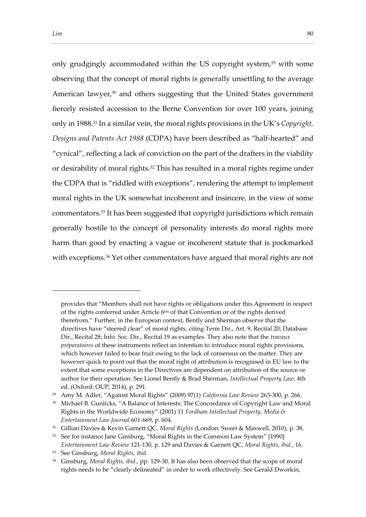only grudgingly accommodated within the US copyright system,<sup>29</sup> with some observing that the concept of moral rights is generally unsettling to the average American lawyer,<sup>30</sup> and others suggesting that the United States government fiercely resisted accession to the Berne Convention for over 100 years, joining only in 1988.<sup>31</sup> In a similar vein, the moral rights provisions in the UK's *Copyright, Designs and Patents Act 1988* (CDPA) have been described as "half-hearted" and "cynical", reflecting a lack of conviction on the part of the drafters in the viability or desirability of moral rights.<sup>32</sup> This has resulted in a moral rights regime under the CDPA that is "riddled with exceptions", rendering the attempt to implement moral rights in the UK somewhat incoherent and insincere, in the view of some commentators.<sup>33</sup> It has been suggested that copyright jurisdictions which remain generally hostile to the concept of personality interests do moral rights more harm than good by enacting a vague or incoherent statute that is pockmarked with exceptions.<sup>34</sup> Yet other commentators have argued that moral rights are not

provides that "Members shall not have rights or obligations under this Agreement in respect of the rights conferred under Article 6bis of that Convention or of the rights derived therefrom." Further, in the European context, Bently and Sherman observe that the directives have "steered clear" of moral rights, citing Term Dir., Art. 9, Recital 20; Database Dir., Recital 28; Info. Soc. Dir., Recital 19 as examples. They also note that the *travaux préparatoires* of these instruments reflect an intention to introduce moral rights provisions, which however failed to bear fruit owing to the lack of consensus on the matter. They are however quick to point out that the moral right of attribution is recognised in EU law to the extent that some exceptions in the Directives are dependent on attribution of the source or author for their operation. See Lionel Bently & Brad Sherman, *Intellectual Property Law*, 4th ed. (Oxford: OUP, 2014), p. 291.

<sup>29</sup> Amy M. Adler, "Against Moral Rights" (2009) 97(1) *California Law Review* 263-300, p. 266.

<sup>&</sup>lt;sup>30</sup> Michael B. Gunlicks, "A Balance of Interests: The Concordance of Copyright Law and Moral Rights in the Worldwide Economy" (2001) 11 *Fordham Intellectual Property, Media & Entertainment Law Journal* 601-669, p. 604.

<sup>31</sup> Gillian Davies & Kevin Garnett QC, *Moral Rights* (London: Sweet & Maxwell, 2010), p. 38.

<sup>&</sup>lt;sup>32</sup> See for instance Jane Ginsburg, "Moral Rights in the Common Law System" [1990] *Entertainment Law Review* 121-130, p. 129 and Davies & Garnett QC, *Moral Rights*, *ibid.*, 16.

<sup>33</sup> See Ginsburg, *Moral Rights*, *ibid*.

<sup>34</sup> Ginsburg, *Moral Rights*, *ibid*., pp. 129-30. It has also been observed that the scope of moral rights needs to be "clearly delineated" in order to work effectively. See Gerald Dworkin,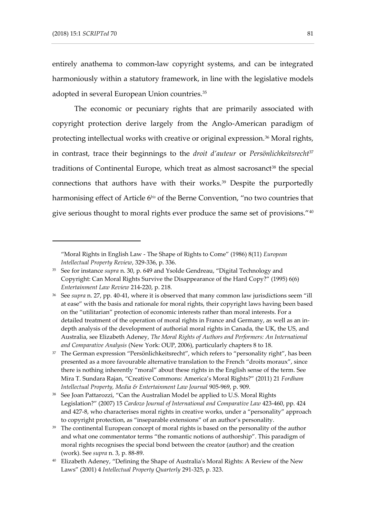entirely anathema to common-law copyright systems, and can be integrated harmoniously within a statutory framework, in line with the legislative models adopted in several European Union countries.<sup>35</sup>

The economic or pecuniary rights that are primarily associated with copyright protection derive largely from the Anglo-American paradigm of protecting intellectual works with creative or original expression.<sup>36</sup> Moral rights, in contrast, trace their beginnings to the *droit d'auteur* or *Persönlichkeitsrecht*<sup>37</sup> traditions of Continental Europe, which treat as almost sacrosanct<sup>38</sup> the special connections that authors have with their works.<sup>39</sup> Despite the purportedly harmonising effect of Article 6*bis* of the Berne Convention, "no two countries that give serious thought to moral rights ever produce the same set of provisions."<sup>40</sup>

<sup>&</sup>quot;Moral Rights in English Law - The Shape of Rights to Come" (1986) 8(11) *European Intellectual Property Review*, 329-336, p. 336.

<sup>35</sup> See for instance *supra* n. 30, p. 649 and Ysolde Gendreau, "Digital Technology and Copyright: Can Moral Rights Survive the Disappearance of the Hard Copy?" (1995) 6(6) *Entertainment Law Review* 214-220, p. 218.

<sup>36</sup> See *supra* n. 27, pp. 40-41, where it is observed that many common law jurisdictions seem "ill at ease" with the basis and rationale for moral rights, their copyright laws having been based on the "utilitarian" protection of economic interests rather than moral interests. For a detailed treatment of the operation of moral rights in France and Germany, as well as an indepth analysis of the development of authorial moral rights in Canada, the UK, the US, and Australia, see Elizabeth Adeney, *The Moral Rights of Authors and Performers: An International and Comparative Analysis* (New York: OUP, 2006), particularly chapters 8 to 18.

<sup>&</sup>lt;sup>37</sup> The German expression "Persönlichkeitsrecht", which refers to "personality right", has been presented as a more favourable alternative translation to the French "droits moraux", since there is nothing inherently "moral" about these rights in the English sense of the term. See Mira T. Sundara Rajan, "Creative Commons: America's Moral Rights?" (2011) 21 *Fordham Intellectual Property, Media & Entertainment Law Journal* 905-969, p. 909.

<sup>&</sup>lt;sup>38</sup> See Joan Pattarozzi, "Can the Australian Model be applied to U.S. Moral Rights Legislation?" (2007) 15 *Cardozo Journal of International and Comparative Law* 423-460, pp. 424 and 427-8, who characterises moral rights in creative works, under a "personality" approach to copyright protection, as "inseparable extensions" of an author's personality.

<sup>&</sup>lt;sup>39</sup> The continental European concept of moral rights is based on the personality of the author and what one commentator terms "the romantic notions of authorship". This paradigm of moral rights recognises the special bond between the creator (author) and the creation (work). See *supra* n. 3, p. 88-89.

<sup>40</sup> Elizabeth Adeney, "Defining the Shape of Australia's Moral Rights: A Review of the New Laws" (2001) 4 *Intellectual Property Quarterly* 291-325, p. 323.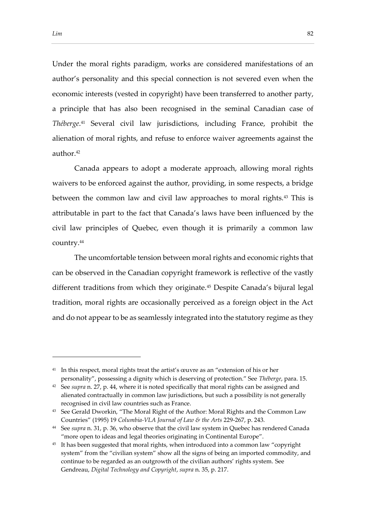Under the moral rights paradigm, works are considered manifestations of an author's personality and this special connection is not severed even when the economic interests (vested in copyright) have been transferred to another party, a principle that has also been recognised in the seminal Canadian case of *Théberge*. <sup>41</sup> Several civil law jurisdictions, including France, prohibit the alienation of moral rights, and refuse to enforce waiver agreements against the author.<sup>42</sup>

Canada appears to adopt a moderate approach, allowing moral rights waivers to be enforced against the author, providing, in some respects, a bridge between the common law and civil law approaches to moral rights.<sup>43</sup> This is attributable in part to the fact that Canada's laws have been influenced by the civil law principles of Quebec, even though it is primarily a common law country.<sup>44</sup>

The uncomfortable tension between moral rights and economic rights that can be observed in the Canadian copyright framework is reflective of the vastly different traditions from which they originate.<sup>45</sup> Despite Canada's bijural legal tradition, moral rights are occasionally perceived as a foreign object in the Act and do not appear to be as seamlessly integrated into the statutory regime as they

<sup>&</sup>lt;sup>41</sup> In this respect, moral rights treat the artist's œuvre as an "extension of his or her personality", possessing a dignity which is deserving of protection." See *Théberge*, para. 15.

<sup>42</sup> See *supra* n. 27, p. 44, where it is noted specifically that moral rights can be assigned and alienated contractually in common law jurisdictions, but such a possibility is not generally recognised in civil law countries such as France.

<sup>&</sup>lt;sup>43</sup> See Gerald Dworkin, "The Moral Right of the Author: Moral Rights and the Common Law Countries" (1995) 19 *Columbia-VLA Journal of Law & the Arts* 229-267, p. 243.

<sup>44</sup> See *supra* n. 31, p. 36, who observe that the civil law system in Quebec has rendered Canada "more open to ideas and legal theories originating in Continental Europe".

<sup>&</sup>lt;sup>45</sup> It has been suggested that moral rights, when introduced into a common law "copyright system" from the "civilian system" show all the signs of being an imported commodity, and continue to be regarded as an outgrowth of the civilian authors' rights system. See Gendreau, *Digital Technology and Copyright*, *supra* n. 35, p. 217.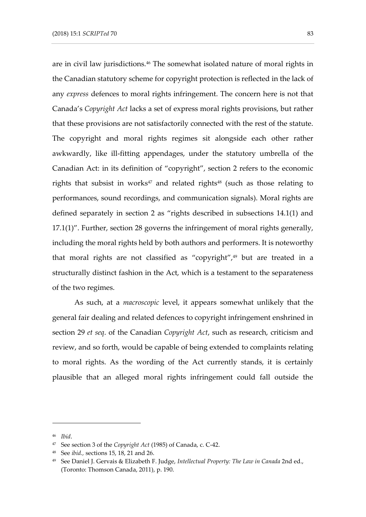are in civil law jurisdictions.<sup>46</sup> The somewhat isolated nature of moral rights in the Canadian statutory scheme for copyright protection is reflected in the lack of any *express* defences to moral rights infringement. The concern here is not that Canada's *Copyright Act* lacks a set of express moral rights provisions, but rather that these provisions are not satisfactorily connected with the rest of the statute. The copyright and moral rights regimes sit alongside each other rather awkwardly, like ill-fitting appendages, under the statutory umbrella of the Canadian Act: in its definition of "copyright", section 2 refers to the economic rights that subsist in works $47$  and related rights $48$  (such as those relating to performances, sound recordings, and communication signals). Moral rights are defined separately in section 2 as "rights described in subsections 14.1(1) and 17.1(1)". Further, section 28 governs the infringement of moral rights generally, including the moral rights held by both authors and performers. It is noteworthy that moral rights are not classified as "copyright",<sup>49</sup> but are treated in a structurally distinct fashion in the Act, which is a testament to the separateness of the two regimes.

As such, at a *macroscopic* level, it appears somewhat unlikely that the general fair dealing and related defences to copyright infringement enshrined in section 29 *et seq*. of the Canadian *Copyright Act*, such as research, criticism and review, and so forth, would be capable of being extended to complaints relating to moral rights. As the wording of the Act currently stands, it is certainly plausible that an alleged moral rights infringement could fall outside the

<sup>46</sup> *Ibid*.

<sup>47</sup> See section 3 of the *Copyright Act* (1985) of Canada, c. C-42.

<sup>48</sup> See *ibid.,* sections 15, 18, 21 and 26.

<sup>49</sup> See Daniel J. Gervais & Elizabeth F. Judge, *Intellectual Property: The Law in Canada* 2nd ed., (Toronto: Thomson Canada, 2011), p. 190.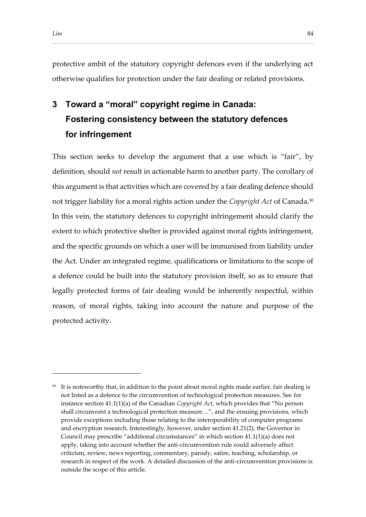protective ambit of the statutory copyright defences even if the underlying act otherwise qualifies for protection under the fair dealing or related provisions.

## **3 Toward a "moral" copyright regime in Canada: Fostering consistency between the statutory defences for infringement**

This section seeks to develop the argument that a use which is "fair", by definition, should *not* result in actionable harm to another party. The corollary of this argument is that activities which are covered by a fair dealing defence should not trigger liability for a moral rights action under the *Copyright Act* of Canada.<sup>50</sup> In this vein, the statutory defences to copyright infringement should clarify the extent to which protective shelter is provided against moral rights infringement, and the specific grounds on which a user will be immunised from liability under the Act. Under an integrated regime, qualifications or limitations to the scope of a defence could be built into the statutory provision itself, so as to ensure that legally protected forms of fair dealing would be inherently respectful, within reason, of moral rights, taking into account the nature and purpose of the protected activity.

<sup>&</sup>lt;sup>50</sup> It is noteworthy that, in addition to the point about moral rights made earlier, fair dealing is not listed as a defence to the circumvention of technological protection measures. See for instance section 41.1(1)(a) of the Canadian *Copyright Act*, which provides that "No person shall circumvent a technological protection measure…", and the ensuing provisions, which provide exceptions including those relating to the interoperability of computer programs and encryption research. Interestingly, however, under section 41.21(2), the Governor in Council may prescribe "additional circumstances" in which section 41.1(1)(a) does not apply, taking into account whether the anti-circumvention rule could adversely affect criticism, review, news reporting, commentary, parody, satire, teaching, scholarship, or research in respect of the work. A detailed discussion of the anti-circumvention provisions is outside the scope of this article.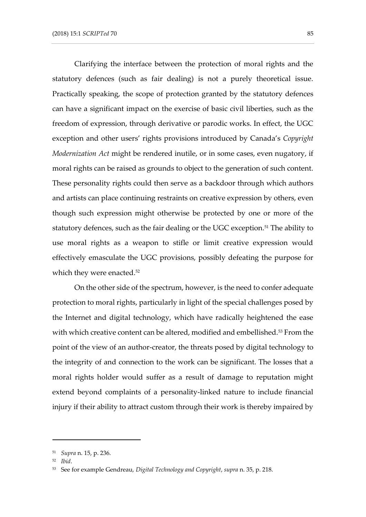Clarifying the interface between the protection of moral rights and the statutory defences (such as fair dealing) is not a purely theoretical issue. Practically speaking, the scope of protection granted by the statutory defences can have a significant impact on the exercise of basic civil liberties, such as the freedom of expression, through derivative or parodic works. In effect, the UGC exception and other users' rights provisions introduced by Canada's *Copyright Modernization Act* might be rendered inutile, or in some cases, even nugatory, if moral rights can be raised as grounds to object to the generation of such content. These personality rights could then serve as a backdoor through which authors and artists can place continuing restraints on creative expression by others, even though such expression might otherwise be protected by one or more of the statutory defences, such as the fair dealing or the UGC exception.<sup>51</sup> The ability to use moral rights as a weapon to stifle or limit creative expression would effectively emasculate the UGC provisions, possibly defeating the purpose for which they were enacted.<sup>52</sup>

On the other side of the spectrum, however, is the need to confer adequate protection to moral rights, particularly in light of the special challenges posed by the Internet and digital technology, which have radically heightened the ease with which creative content can be altered, modified and embellished.<sup>53</sup> From the point of the view of an author-creator, the threats posed by digital technology to the integrity of and connection to the work can be significant. The losses that a moral rights holder would suffer as a result of damage to reputation might extend beyond complaints of a personality-linked nature to include financial injury if their ability to attract custom through their work is thereby impaired by

<sup>51</sup> *Supra* n. 15, p. 236.

<sup>52</sup> *Ibid*.

<sup>53</sup> See for example Gendreau, *Digital Technology and Copyright*, *supra* n. 35, p. 218.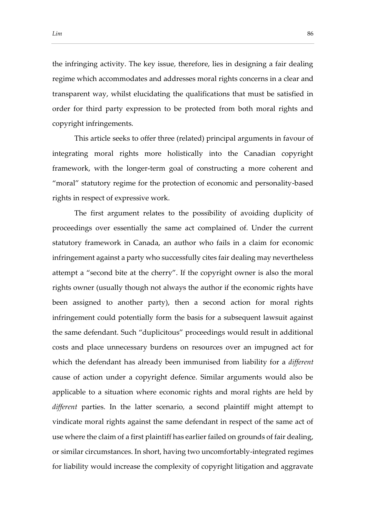the infringing activity. The key issue, therefore, lies in designing a fair dealing regime which accommodates and addresses moral rights concerns in a clear and transparent way, whilst elucidating the qualifications that must be satisfied in order for third party expression to be protected from both moral rights and copyright infringements.

This article seeks to offer three (related) principal arguments in favour of integrating moral rights more holistically into the Canadian copyright framework, with the longer-term goal of constructing a more coherent and "moral" statutory regime for the protection of economic and personality-based rights in respect of expressive work.

The first argument relates to the possibility of avoiding duplicity of proceedings over essentially the same act complained of. Under the current statutory framework in Canada, an author who fails in a claim for economic infringement against a party who successfully cites fair dealing may nevertheless attempt a "second bite at the cherry". If the copyright owner is also the moral rights owner (usually though not always the author if the economic rights have been assigned to another party), then a second action for moral rights infringement could potentially form the basis for a subsequent lawsuit against the same defendant. Such "duplicitous" proceedings would result in additional costs and place unnecessary burdens on resources over an impugned act for which the defendant has already been immunised from liability for a *different* cause of action under a copyright defence. Similar arguments would also be applicable to a situation where economic rights and moral rights are held by *different* parties. In the latter scenario, a second plaintiff might attempt to vindicate moral rights against the same defendant in respect of the same act of use where the claim of a first plaintiff has earlier failed on grounds of fair dealing, or similar circumstances. In short, having two uncomfortably-integrated regimes for liability would increase the complexity of copyright litigation and aggravate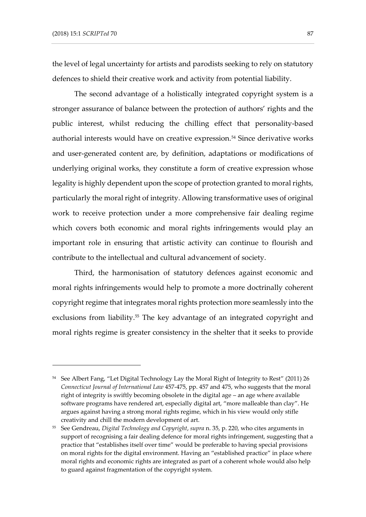the level of legal uncertainty for artists and parodists seeking to rely on statutory defences to shield their creative work and activity from potential liability.

The second advantage of a holistically integrated copyright system is a stronger assurance of balance between the protection of authors' rights and the public interest, whilst reducing the chilling effect that personality-based authorial interests would have on creative expression.<sup>54</sup> Since derivative works and user-generated content are, by definition, adaptations or modifications of underlying original works, they constitute a form of creative expression whose legality is highly dependent upon the scope of protection granted to moral rights, particularly the moral right of integrity. Allowing transformative uses of original work to receive protection under a more comprehensive fair dealing regime which covers both economic and moral rights infringements would play an important role in ensuring that artistic activity can continue to flourish and contribute to the intellectual and cultural advancement of society.

Third, the harmonisation of statutory defences against economic and moral rights infringements would help to promote a more doctrinally coherent copyright regime that integrates moral rights protection more seamlessly into the exclusions from liability.<sup>55</sup> The key advantage of an integrated copyright and moral rights regime is greater consistency in the shelter that it seeks to provide

<sup>&</sup>lt;sup>54</sup> See Albert Fang, "Let Digital Technology Lay the Moral Right of Integrity to Rest" (2011) 26 *Connecticut Journal of International Law* 457-475, pp. 457 and 475, who suggests that the moral right of integrity is swiftly becoming obsolete in the digital age – an age where available software programs have rendered art, especially digital art, "more malleable than clay". He argues against having a strong moral rights regime, which in his view would only stifle creativity and chill the modern development of art.

<sup>55</sup> See Gendreau, *Digital Technology and Copyright*, *supra* n. 35, p. 220, who cites arguments in support of recognising a fair dealing defence for moral rights infringement, suggesting that a practice that "establishes itself over time" would be preferable to having special provisions on moral rights for the digital environment. Having an "established practice" in place where moral rights and economic rights are integrated as part of a coherent whole would also help to guard against fragmentation of the copyright system.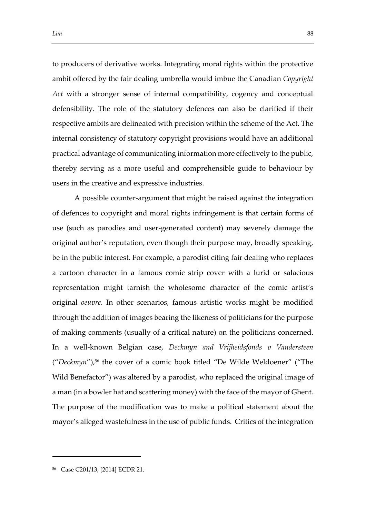to producers of derivative works. Integrating moral rights within the protective ambit offered by the fair dealing umbrella would imbue the Canadian *Copyright Act* with a stronger sense of internal compatibility, cogency and conceptual defensibility. The role of the statutory defences can also be clarified if their respective ambits are delineated with precision within the scheme of the Act. The internal consistency of statutory copyright provisions would have an additional practical advantage of communicating information more effectively to the public, thereby serving as a more useful and comprehensible guide to behaviour by users in the creative and expressive industries.

A possible counter-argument that might be raised against the integration of defences to copyright and moral rights infringement is that certain forms of use (such as parodies and user-generated content) may severely damage the original author's reputation, even though their purpose may, broadly speaking, be in the public interest. For example, a parodist citing fair dealing who replaces a cartoon character in a famous comic strip cover with a lurid or salacious representation might tarnish the wholesome character of the comic artist's original *oeuvre*. In other scenarios, famous artistic works might be modified through the addition of images bearing the likeness of politicians for the purpose of making comments (usually of a critical nature) on the politicians concerned. In a well-known Belgian case, *Deckmyn and Vrijheidsfonds v Vandersteen* ("*Deckmyn*"),<sup>56</sup> the cover of a comic book titled "De Wilde Weldoener" ("The Wild Benefactor") was altered by a parodist, who replaced the original image of a man (in a bowler hat and scattering money) with the face of the mayor of Ghent. The purpose of the modification was to make a political statement about the mayor's alleged wastefulness in the use of public funds. Critics of the integration

<sup>56</sup> Case C201/13, [2014] ECDR 21.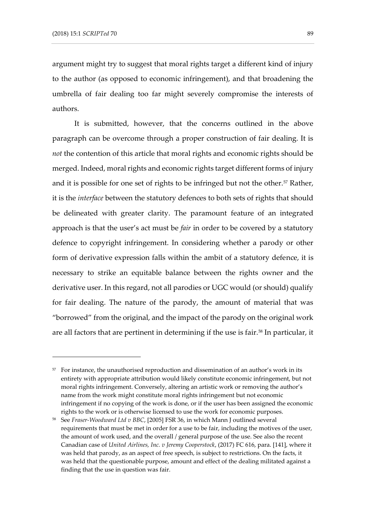argument might try to suggest that moral rights target a different kind of injury to the author (as opposed to economic infringement), and that broadening the umbrella of fair dealing too far might severely compromise the interests of authors.

It is submitted, however, that the concerns outlined in the above paragraph can be overcome through a proper construction of fair dealing. It is *not* the contention of this article that moral rights and economic rights should be merged. Indeed, moral rights and economic rights target different forms of injury and it is possible for one set of rights to be infringed but not the other.<sup>57</sup> Rather, it is the *interface* between the statutory defences to both sets of rights that should be delineated with greater clarity. The paramount feature of an integrated approach is that the user's act must be *fair* in order to be covered by a statutory defence to copyright infringement. In considering whether a parody or other form of derivative expression falls within the ambit of a statutory defence, it is necessary to strike an equitable balance between the rights owner and the derivative user. In this regard, not all parodies or UGC would (or should) qualify for fair dealing. The nature of the parody, the amount of material that was "borrowed" from the original, and the impact of the parody on the original work are all factors that are pertinent in determining if the use is fair.<sup>58</sup> In particular, it

<sup>&</sup>lt;sup>57</sup> For instance, the unauthorised reproduction and dissemination of an author's work in its entirety with appropriate attribution would likely constitute economic infringement, but not moral rights infringement. Conversely, altering an artistic work or removing the author's name from the work might constitute moral rights infringement but not economic infringement if no copying of the work is done, or if the user has been assigned the economic rights to the work or is otherwise licensed to use the work for economic purposes.

<sup>58</sup> See *Fraser-Woodward Ltd v BBC*, [2005] FSR 36, in which Mann J outlined several requirements that must be met in order for a use to be fair, including the motives of the user, the amount of work used, and the overall / general purpose of the use. See also the recent Canadian case of *United Airlines, Inc. v Jeremy Cooperstock*, (2017) FC 616, para. [141], where it was held that parody, as an aspect of free speech, is subject to restrictions. On the facts, it was held that the questionable purpose, amount and effect of the dealing militated against a finding that the use in question was fair.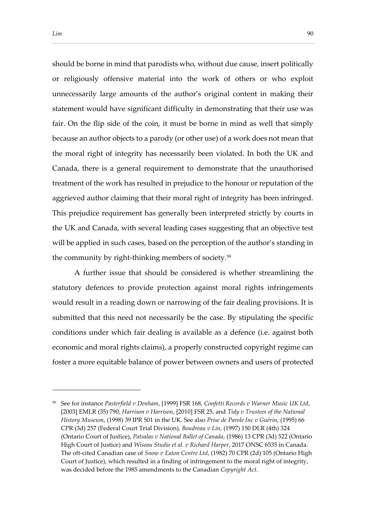should be borne in mind that parodists who, without due cause, insert politically or religiously offensive material into the work of others or who exploit unnecessarily large amounts of the author's original content in making their statement would have significant difficulty in demonstrating that their use was fair. On the flip side of the coin, it must be borne in mind as well that simply because an author objects to a parody (or other use) of a work does not mean that the moral right of integrity has necessarily been violated. In both the UK and Canada, there is a general requirement to demonstrate that the unauthorised treatment of the work has resulted in prejudice to the honour or reputation of the aggrieved author claiming that their moral right of integrity has been infringed. This prejudice requirement has generally been interpreted strictly by courts in the UK and Canada, with several leading cases suggesting that an objective test will be applied in such cases, based on the perception of the author's standing in the community by right-thinking members of society.<sup>59</sup>

A further issue that should be considered is whether streamlining the statutory defences to provide protection against moral rights infringements would result in a reading down or narrowing of the fair dealing provisions. It is submitted that this need not necessarily be the case. By stipulating the specific conditions under which fair dealing is available as a defence (i.e. against both economic and moral rights claims), a properly constructed copyright regime can foster a more equitable balance of power between owners and users of protected

<sup>59</sup> See for instance *Pasterfield v Denham*, [1999] FSR 168, *Confetti Records v Warner Music UK Ltd*, [2003] EMLR (35) 790, *Harrison v Harrison*, [2010] FSR 25, and *Tidy v Trustees of the National History Museum*, (1998) 39 IPR 501 in the UK. See also *Prise de Parole Inc v Guérin*, (1995) 66 CPR (3d) 257 (Federal Court Trial Division), *Boudreau v Lin*, (1997) 150 DLR (4th) 324 (Ontario Court of Justice), *Patsalas v National Ballet of Canada*, (1986) 13 CPR (3d) 522 (Ontario High Court of Justice) and *Wiseau Studio et al. v Richard Harper*, 2017 ONSC 6535 in Canada. The oft-cited Canadian case of *Snow v Eaton Centre Ltd*, (1982) 70 CPR (2d) 105 (Ontario High Court of Justice), which resulted in a finding of infringement to the moral right of integrity, was decided before the 1985 amendments to the Canadian *Copyright Act*.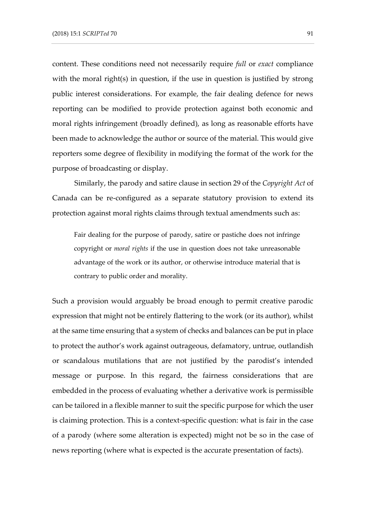content. These conditions need not necessarily require *full* or *exact* compliance with the moral right(s) in question, if the use in question is justified by strong public interest considerations. For example, the fair dealing defence for news reporting can be modified to provide protection against both economic and moral rights infringement (broadly defined), as long as reasonable efforts have been made to acknowledge the author or source of the material. This would give reporters some degree of flexibility in modifying the format of the work for the purpose of broadcasting or display.

Similarly, the parody and satire clause in section 29 of the *Copyright Act* of Canada can be re-configured as a separate statutory provision to extend its protection against moral rights claims through textual amendments such as:

Fair dealing for the purpose of parody, satire or pastiche does not infringe copyright or *moral rights* if the use in question does not take unreasonable advantage of the work or its author, or otherwise introduce material that is contrary to public order and morality.

Such a provision would arguably be broad enough to permit creative parodic expression that might not be entirely flattering to the work (or its author), whilst at the same time ensuring that a system of checks and balances can be put in place to protect the author's work against outrageous, defamatory, untrue, outlandish or scandalous mutilations that are not justified by the parodist's intended message or purpose. In this regard, the fairness considerations that are embedded in the process of evaluating whether a derivative work is permissible can be tailored in a flexible manner to suit the specific purpose for which the user is claiming protection. This is a context-specific question: what is fair in the case of a parody (where some alteration is expected) might not be so in the case of news reporting (where what is expected is the accurate presentation of facts).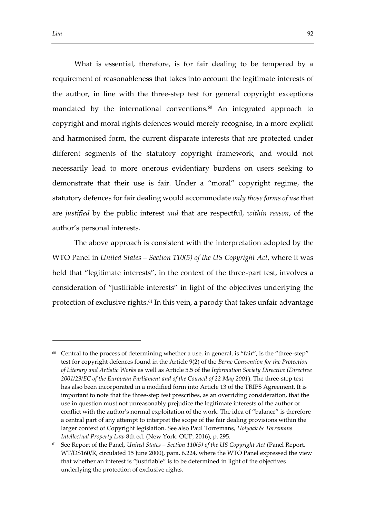What is essential, therefore, is for fair dealing to be tempered by a requirement of reasonableness that takes into account the legitimate interests of the author, in line with the three-step test for general copyright exceptions mandated by the international conventions.<sup>60</sup> An integrated approach to copyright and moral rights defences would merely recognise, in a more explicit and harmonised form, the current disparate interests that are protected under different segments of the statutory copyright framework, and would not necessarily lead to more onerous evidentiary burdens on users seeking to demonstrate that their use is fair. Under a "moral" copyright regime, the statutory defences for fair dealing would accommodate *only those forms of use* that are *justified* by the public interest *and* that are respectful, *within reason*, of the author's personal interests.

The above approach is consistent with the interpretation adopted by the WTO Panel in *United States – Section 110(5) of the US Copyright Act*, where it was held that "legitimate interests", in the context of the three-part test, involves a consideration of "justifiable interests" in light of the objectives underlying the protection of exclusive rights.<sup>61</sup> In this vein, a parody that takes unfair advantage

 $60$  Central to the process of determining whether a use, in general, is "fair", is the "three-step" test for copyright defences found in the Article 9(2) of the *Berne Convention for the Protection of Literary and Artistic Works* as well as Article 5.5 of the *Information Society Directive* (*Directive 2001/29/EC of the European Parliament and of the Council of 22 May 2001*). The three-step test has also been incorporated in a modified form into Article 13 of the TRIPS Agreement. It is important to note that the three-step test prescribes, as an overriding consideration, that the use in question must not unreasonably prejudice the legitimate interests of the author or conflict with the author's normal exploitation of the work. The idea of "balance" is therefore a central part of any attempt to interpret the scope of the fair dealing provisions within the larger context of Copyright legislation. See also Paul Torremans, *Holyoak & Torremans Intellectual Property Law* 8th ed. (New York: OUP, 2016), p. 295.

<sup>61</sup> See Report of the Panel, *United States – Section 110(5) of the US Copyright Act* (Panel Report, WT/DS160/R, circulated 15 June 2000), para. 6.224, where the WTO Panel expressed the view that whether an interest is "justifiable" is to be determined in light of the objectives underlying the protection of exclusive rights.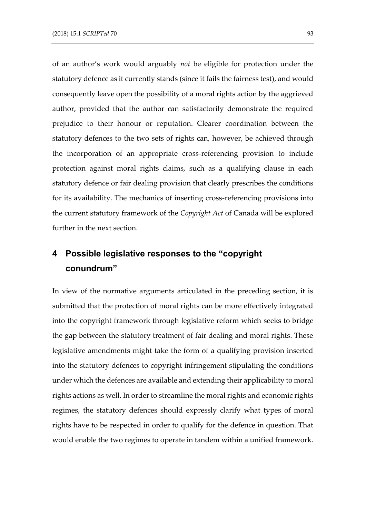of an author's work would arguably *not* be eligible for protection under the statutory defence as it currently stands (since it fails the fairness test), and would consequently leave open the possibility of a moral rights action by the aggrieved author, provided that the author can satisfactorily demonstrate the required prejudice to their honour or reputation. Clearer coordination between the statutory defences to the two sets of rights can, however, be achieved through the incorporation of an appropriate cross-referencing provision to include protection against moral rights claims, such as a qualifying clause in each statutory defence or fair dealing provision that clearly prescribes the conditions for its availability. The mechanics of inserting cross-referencing provisions into the current statutory framework of the *Copyright Act* of Canada will be explored further in the next section.

## **4 Possible legislative responses to the "copyright conundrum"**

In view of the normative arguments articulated in the preceding section, it is submitted that the protection of moral rights can be more effectively integrated into the copyright framework through legislative reform which seeks to bridge the gap between the statutory treatment of fair dealing and moral rights. These legislative amendments might take the form of a qualifying provision inserted into the statutory defences to copyright infringement stipulating the conditions under which the defences are available and extending their applicability to moral rights actions as well. In order to streamline the moral rights and economic rights regimes, the statutory defences should expressly clarify what types of moral rights have to be respected in order to qualify for the defence in question. That would enable the two regimes to operate in tandem within a unified framework.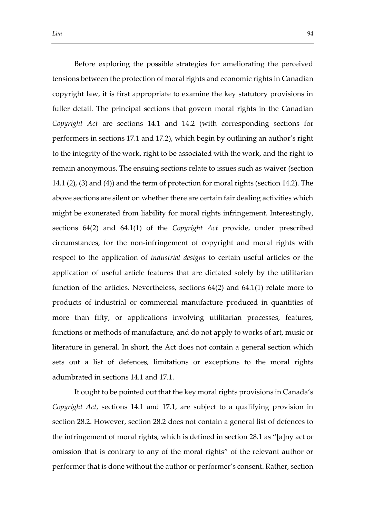Before exploring the possible strategies for ameliorating the perceived tensions between the protection of moral rights and economic rights in Canadian copyright law, it is first appropriate to examine the key statutory provisions in fuller detail. The principal sections that govern moral rights in the Canadian *Copyright Act* are sections 14.1 and 14.2 (with corresponding sections for performers in sections 17.1 and 17.2), which begin by outlining an author's right to the integrity of the work, right to be associated with the work, and the right to remain anonymous. The ensuing sections relate to issues such as waiver (section 14.1 (2), (3) and (4)) and the term of protection for moral rights (section 14.2). The above sections are silent on whether there are certain fair dealing activities which might be exonerated from liability for moral rights infringement. Interestingly, sections 64(2) and 64.1(1) of the *Copyright Act* provide, under prescribed circumstances, for the non-infringement of copyright and moral rights with respect to the application of *industrial designs* to certain useful articles or the application of useful article features that are dictated solely by the utilitarian function of the articles. Nevertheless, sections 64(2) and 64.1(1) relate more to products of industrial or commercial manufacture produced in quantities of more than fifty, or applications involving utilitarian processes, features, functions or methods of manufacture, and do not apply to works of art, music or literature in general. In short, the Act does not contain a general section which sets out a list of defences, limitations or exceptions to the moral rights adumbrated in sections 14.1 and 17.1.

It ought to be pointed out that the key moral rights provisions in Canada's *Copyright Act*, sections 14.1 and 17.1, are subject to a qualifying provision in section 28.2. However, section 28.2 does not contain a general list of defences to the infringement of moral rights, which is defined in section 28.1 as "[a]ny act or omission that is contrary to any of the moral rights" of the relevant author or performer that is done without the author or performer's consent. Rather, section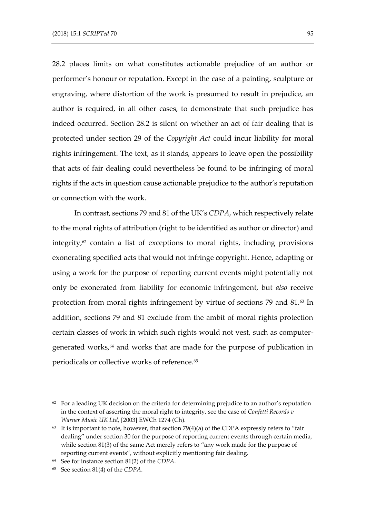28.2 places limits on what constitutes actionable prejudice of an author or performer's honour or reputation. Except in the case of a painting, sculpture or engraving, where distortion of the work is presumed to result in prejudice, an author is required, in all other cases, to demonstrate that such prejudice has indeed occurred. Section 28.2 is silent on whether an act of fair dealing that is protected under section 29 of the *Copyright Act* could incur liability for moral rights infringement. The text, as it stands, appears to leave open the possibility that acts of fair dealing could nevertheless be found to be infringing of moral rights if the acts in question cause actionable prejudice to the author's reputation or connection with the work.

In contrast, sections 79 and 81 of the UK's *CDPA*, which respectively relate to the moral rights of attribution (right to be identified as author or director) and integrity, $62$  contain a list of exceptions to moral rights, including provisions exonerating specified acts that would not infringe copyright. Hence, adapting or using a work for the purpose of reporting current events might potentially not only be exonerated from liability for economic infringement, but *also* receive protection from moral rights infringement by virtue of sections 79 and 81.<sup>63</sup> In addition, sections 79 and 81 exclude from the ambit of moral rights protection certain classes of work in which such rights would not vest, such as computergenerated works,<sup>64</sup> and works that are made for the purpose of publication in periodicals or collective works of reference.<sup>65</sup>

 $62$  For a leading UK decision on the criteria for determining prejudice to an author's reputation in the context of asserting the moral right to integrity, see the case of *Confetti Records v Warner Music UK Ltd*, [2003] EWCh 1274 (Ch).

 $63$  It is important to note, however, that section 79(4)(a) of the CDPA expressly refers to "fair dealing" under section 30 for the purpose of reporting current events through certain media, while section 81(3) of the same Act merely refers to "any work made for the purpose of reporting current events", without explicitly mentioning fair dealing.

<sup>64</sup> See for instance section 81(2) of the *CDPA*.

<sup>65</sup> See section 81(4) of the *CDPA*.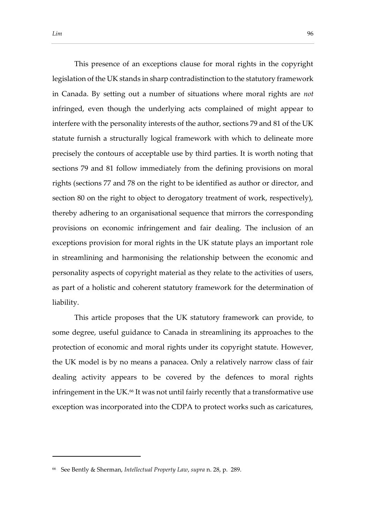This presence of an exceptions clause for moral rights in the copyright legislation of the UK stands in sharp contradistinction to the statutory framework in Canada. By setting out a number of situations where moral rights are *not* infringed, even though the underlying acts complained of might appear to interfere with the personality interests of the author, sections 79 and 81 of the UK statute furnish a structurally logical framework with which to delineate more precisely the contours of acceptable use by third parties. It is worth noting that sections 79 and 81 follow immediately from the defining provisions on moral rights (sections 77 and 78 on the right to be identified as author or director, and section 80 on the right to object to derogatory treatment of work, respectively), thereby adhering to an organisational sequence that mirrors the corresponding provisions on economic infringement and fair dealing. The inclusion of an exceptions provision for moral rights in the UK statute plays an important role in streamlining and harmonising the relationship between the economic and personality aspects of copyright material as they relate to the activities of users, as part of a holistic and coherent statutory framework for the determination of liability.

This article proposes that the UK statutory framework can provide, to some degree, useful guidance to Canada in streamlining its approaches to the protection of economic and moral rights under its copyright statute. However, the UK model is by no means a panacea. Only a relatively narrow class of fair dealing activity appears to be covered by the defences to moral rights infringement in the UK.<sup>66</sup> It was not until fairly recently that a transformative use exception was incorporated into the CDPA to protect works such as caricatures,

<sup>66</sup> See Bently & Sherman, *Intellectual Property Law*, *supra* n. 28, p. 289.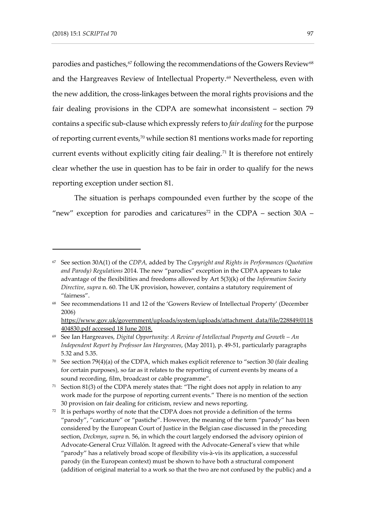parodies and pastiches,<sup>67</sup> following the recommendations of the Gowers Review<sup>68</sup> and the Hargreaves Review of Intellectual Property.<sup>69</sup> Nevertheless, even with the new addition, the cross-linkages between the moral rights provisions and the fair dealing provisions in the CDPA are somewhat inconsistent – section 79 contains a specific sub-clause which expressly refers to *fair dealing* for the purpose of reporting current events,<sup>70</sup> while section 81 mentions works made for reporting current events without explicitly citing fair dealing.<sup>71</sup> It is therefore not entirely clear whether the use in question has to be fair in order to qualify for the news reporting exception under section 81.

The situation is perhaps compounded even further by the scope of the "new" exception for parodies and caricatures<sup>72</sup> in the CDPA – section  $30A$  –

 $71$  Section 81(3) of the CDPA merely states that: "The right does not apply in relation to any work made for the purpose of reporting current events." There is no mention of the section 30 provision on fair dealing for criticism, review and news reporting.

<sup>67</sup> See section 30A(1) of the *CDPA,* added by The *Copyright and Rights in Performances (Quotation and Parody) Regulations* 2014. The new "parodies" exception in the CDPA appears to take advantage of the flexibilities and freedoms allowed by Art 5(3)(k) of the *Information Society Directive*, *supra* n. 60. The UK provision, however, contains a statutory requirement of "fairness".

<sup>68</sup> See recommendations 11 and 12 of the 'Gowers Review of Intellectual Property' (December 2006)

[https://www.gov.uk/government/uploads/system/uploads/attachment\\_data/file/228849/0118](https://www.gov.uk/government/uploads/system/uploads/attachment_data/file/228849/0118404830.pdf%20accessed%2018) [404830.pdf accessed 18](https://www.gov.uk/government/uploads/system/uploads/attachment_data/file/228849/0118404830.pdf%20accessed%2018) June 2018.

<sup>&</sup>lt;sup>69</sup> See Ian Hargreaves, *Digital Opportunity: A Review of Intellectual Property and Growth – An Independent Report by Professor Ian Hargreaves*, (May 2011), p. 49-51, particularly paragraphs 5.32 and 5.35.

 $70$  See section 79(4)(a) of the CDPA, which makes explicit reference to "section 30 (fair dealing for certain purposes), so far as it relates to the reporting of current events by means of a sound recording, film, broadcast or cable programme".

<sup>&</sup>lt;sup>72</sup> It is perhaps worthy of note that the CDPA does not provide a definition of the terms "parody", "caricature" or "pastiche". However, the meaning of the term "parody" has been considered by the European Court of Justice in the Belgian case discussed in the preceding section, *Deckmyn*, *supra* n. 56, in which the court largely endorsed the advisory opinion of Advocate-General Cruz Villalón. It agreed with the Advocate-General's view that while "parody" has a relatively broad scope of flexibility vis-à-vis its application, a successful parody (in the European context) must be shown to have both a structural component (addition of original material to a work so that the two are not confused by the public) and a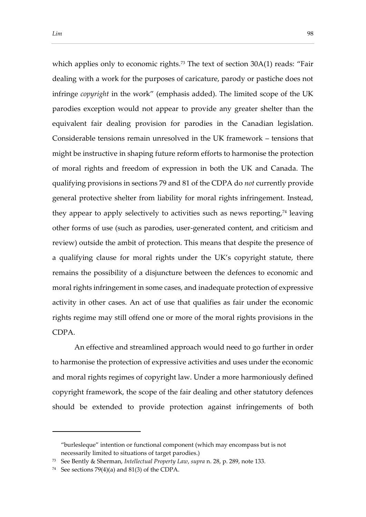which applies only to economic rights.<sup>73</sup> The text of section  $30A(1)$  reads: "Fair dealing with a work for the purposes of caricature, parody or pastiche does not infringe *copyright* in the work" (emphasis added). The limited scope of the UK parodies exception would not appear to provide any greater shelter than the equivalent fair dealing provision for parodies in the Canadian legislation. Considerable tensions remain unresolved in the UK framework – tensions that might be instructive in shaping future reform efforts to harmonise the protection of moral rights and freedom of expression in both the UK and Canada. The qualifying provisions in sections 79 and 81 of the CDPA do *not* currently provide general protective shelter from liability for moral rights infringement. Instead, they appear to apply selectively to activities such as news reporting, $74$  leaving other forms of use (such as parodies, user-generated content, and criticism and review) outside the ambit of protection. This means that despite the presence of a qualifying clause for moral rights under the UK's copyright statute, there remains the possibility of a disjuncture between the defences to economic and moral rights infringement in some cases, and inadequate protection of expressive activity in other cases. An act of use that qualifies as fair under the economic rights regime may still offend one or more of the moral rights provisions in the CDPA.

An effective and streamlined approach would need to go further in order to harmonise the protection of expressive activities and uses under the economic and moral rights regimes of copyright law. Under a more harmoniously defined copyright framework, the scope of the fair dealing and other statutory defences should be extended to provide protection against infringements of both

<sup>&</sup>quot;burlesleque" intention or functional component (which may encompass but is not necessarily limited to situations of target parodies.)

<sup>73</sup> See Bently & Sherman, *Intellectual Property Law*, *supra* n. 28, p. 289, note 133.

<sup>&</sup>lt;sup>74</sup> See sections  $79(4)(a)$  and  $81(3)$  of the CDPA.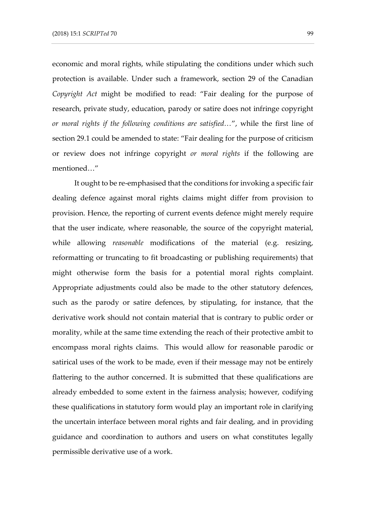economic and moral rights, while stipulating the conditions under which such protection is available. Under such a framework, section 29 of the Canadian *Copyright Act* might be modified to read: "Fair dealing for the purpose of research, private study, education, parody or satire does not infringe copyright *or moral rights if the following conditions are satisfied…*", while the first line of section 29.1 could be amended to state: "Fair dealing for the purpose of criticism or review does not infringe copyright *or moral rights* if the following are mentioned…"

It ought to be re-emphasised that the conditions for invoking a specific fair dealing defence against moral rights claims might differ from provision to provision. Hence, the reporting of current events defence might merely require that the user indicate, where reasonable, the source of the copyright material, while allowing *reasonable* modifications of the material (e.g. resizing, reformatting or truncating to fit broadcasting or publishing requirements) that might otherwise form the basis for a potential moral rights complaint. Appropriate adjustments could also be made to the other statutory defences, such as the parody or satire defences, by stipulating, for instance, that the derivative work should not contain material that is contrary to public order or morality, while at the same time extending the reach of their protective ambit to encompass moral rights claims. This would allow for reasonable parodic or satirical uses of the work to be made, even if their message may not be entirely flattering to the author concerned. It is submitted that these qualifications are already embedded to some extent in the fairness analysis; however, codifying these qualifications in statutory form would play an important role in clarifying the uncertain interface between moral rights and fair dealing, and in providing guidance and coordination to authors and users on what constitutes legally permissible derivative use of a work.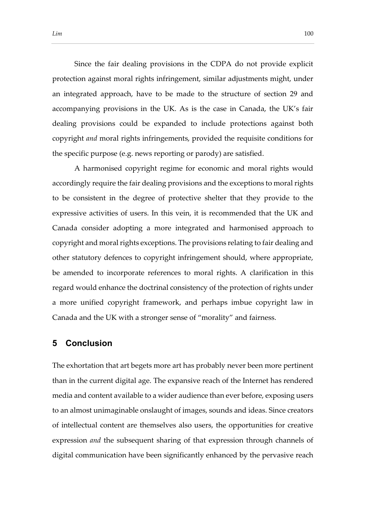Since the fair dealing provisions in the CDPA do not provide explicit protection against moral rights infringement, similar adjustments might, under an integrated approach, have to be made to the structure of section 29 and accompanying provisions in the UK. As is the case in Canada, the UK's fair dealing provisions could be expanded to include protections against both copyright *and* moral rights infringements, provided the requisite conditions for the specific purpose (e.g. news reporting or parody) are satisfied.

A harmonised copyright regime for economic and moral rights would accordingly require the fair dealing provisions and the exceptions to moral rights to be consistent in the degree of protective shelter that they provide to the expressive activities of users. In this vein, it is recommended that the UK and Canada consider adopting a more integrated and harmonised approach to copyright and moral rights exceptions. The provisions relating to fair dealing and other statutory defences to copyright infringement should, where appropriate, be amended to incorporate references to moral rights. A clarification in this regard would enhance the doctrinal consistency of the protection of rights under a more unified copyright framework, and perhaps imbue copyright law in Canada and the UK with a stronger sense of "morality" and fairness.

### **5 Conclusion**

The exhortation that art begets more art has probably never been more pertinent than in the current digital age. The expansive reach of the Internet has rendered media and content available to a wider audience than ever before, exposing users to an almost unimaginable onslaught of images, sounds and ideas. Since creators of intellectual content are themselves also users, the opportunities for creative expression *and* the subsequent sharing of that expression through channels of digital communication have been significantly enhanced by the pervasive reach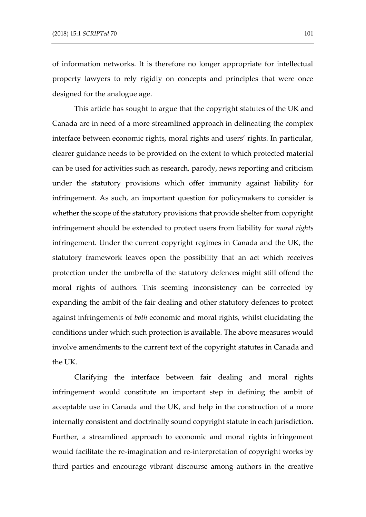of information networks. It is therefore no longer appropriate for intellectual property lawyers to rely rigidly on concepts and principles that were once designed for the analogue age.

This article has sought to argue that the copyright statutes of the UK and Canada are in need of a more streamlined approach in delineating the complex interface between economic rights, moral rights and users' rights. In particular, clearer guidance needs to be provided on the extent to which protected material can be used for activities such as research, parody, news reporting and criticism under the statutory provisions which offer immunity against liability for infringement. As such, an important question for policymakers to consider is whether the scope of the statutory provisions that provide shelter from copyright infringement should be extended to protect users from liability for *moral rights* infringement. Under the current copyright regimes in Canada and the UK, the statutory framework leaves open the possibility that an act which receives protection under the umbrella of the statutory defences might still offend the moral rights of authors. This seeming inconsistency can be corrected by expanding the ambit of the fair dealing and other statutory defences to protect against infringements of *both* economic and moral rights, whilst elucidating the conditions under which such protection is available. The above measures would involve amendments to the current text of the copyright statutes in Canada and the UK.

Clarifying the interface between fair dealing and moral rights infringement would constitute an important step in defining the ambit of acceptable use in Canada and the UK, and help in the construction of a more internally consistent and doctrinally sound copyright statute in each jurisdiction. Further, a streamlined approach to economic and moral rights infringement would facilitate the re-imagination and re-interpretation of copyright works by third parties and encourage vibrant discourse among authors in the creative